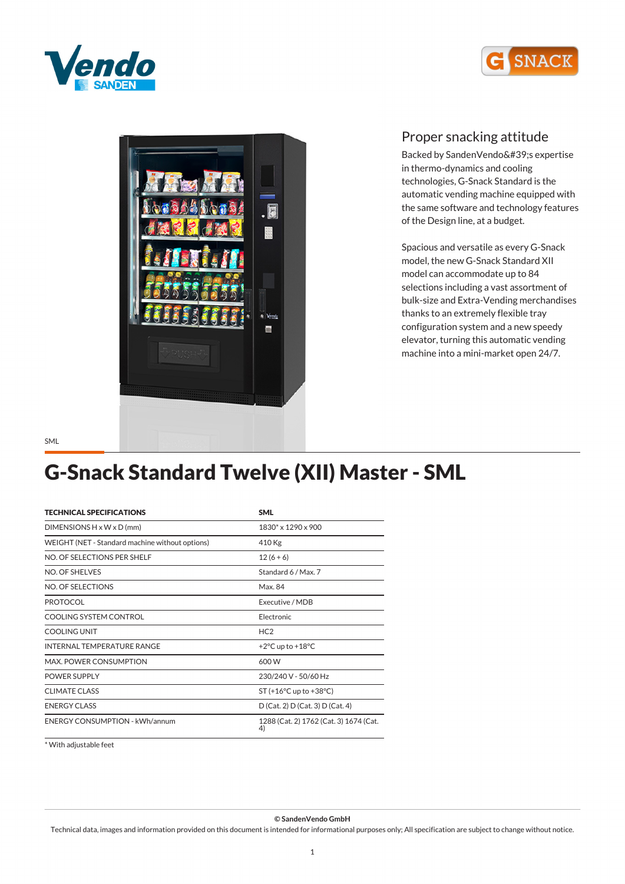





Backed by SandenVendo's expertise *in thermo-dynamics and cooling technologies, G-Snack Standard is the automatic vending machine equipped with the same software and technology features of the Design line, at a budget.*

*Spacious and versatile as every G-Snack model, the new G-Snack Standard XII model can accommodate up to 84 selections including a vast assortment of bulk-size and Extra-Vending merchandises thanks to an extremely flexible tray configuration system and a new speedy elevator, turning this automatic vending machine into a mini-market open 24/7.*

# *G-Snack Standard Twelve (XII) Master - SML*

| <b>TECHNICAL SPECIFICATIONS</b>                 | <b>SML</b>                                   |  |
|-------------------------------------------------|----------------------------------------------|--|
| DIMENSIONS $H \times W \times D$ (mm)           | 1830* x 1290 x 900                           |  |
| WEIGHT (NET - Standard machine without options) | 410 Kg                                       |  |
| NO. OF SELECTIONS PER SHELF                     | $12(6+6)$                                    |  |
| NO. OF SHELVES                                  | Standard 6 / Max. 7                          |  |
| NO. OF SELECTIONS                               | Max. 84                                      |  |
| <b>PROTOCOL</b>                                 | Executive / MDB                              |  |
| COOLING SYSTEM CONTROL                          | Electronic                                   |  |
| <b>COOLING UNIT</b>                             | HC <sub>2</sub>                              |  |
| <b>INTERNAL TEMPERATURE RANGE</b>               | +2 $\degree$ C up to +18 $\degree$ C         |  |
| MAX. POWER CONSUMPTION                          | 600 W                                        |  |
| <b>POWER SUPPLY</b>                             | 230/240 V - 50/60 Hz                         |  |
| <b>CLIMATE CLASS</b>                            | $ST (+16°C$ up to $+38°C$ )                  |  |
| <b>ENERGY CLASS</b>                             | D (Cat. 2) D (Cat. 3) D (Cat. 4)             |  |
| <b>ENERGY CONSUMPTION - kWh/annum</b>           | 1288 (Cat. 2) 1762 (Cat. 3) 1674 (Cat.<br>4) |  |

*\* With adjustable feet*

*© SandenVendo GmbH*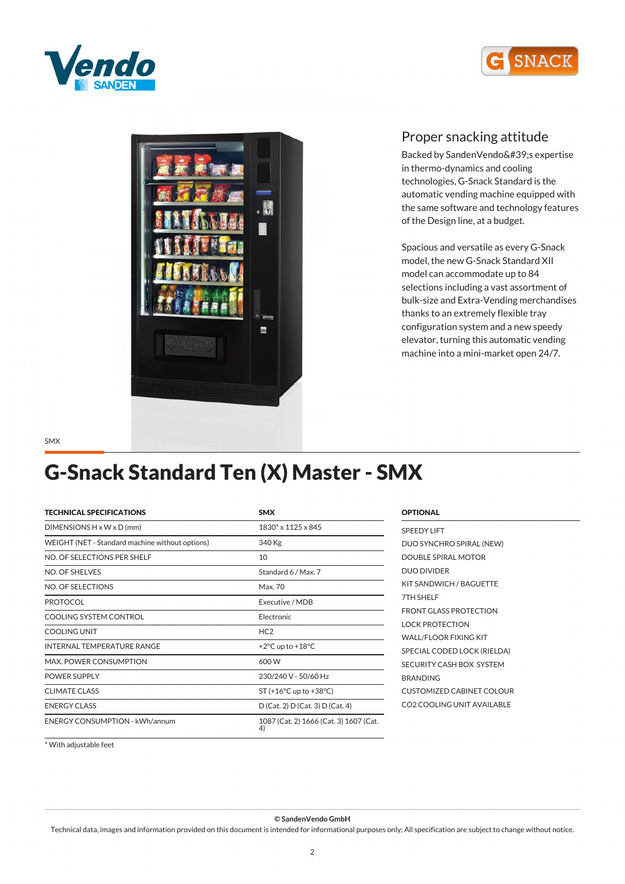





Backed by SandenVendo's expertise *in thermo-dynamics and cooling technologies, G-Snack Standard is the automatic vending machine equipped with the same software and technology features of the Design line, at a budget.*

*Spacious and versatile as every G-Snack model, the new G-Snack Standard XII model can accommodate up to 84 selections including a vast assortment of bulk-size and Extra-Vending merchandises thanks to an extremely flexible tray configuration system and a new speedy elevator, turning this automatic vending machine into a mini-market open 24/7.*

*SMX*

## *G-Snack Standard Ten (X) Master - SMX*

| <b>TECHNICAL SPECIFICATIONS</b>                 | <b>SMX</b>                                   |  |
|-------------------------------------------------|----------------------------------------------|--|
| $DIMENSIONS H \times W \times D$ (mm)           | 1830* x 1125 x 845                           |  |
| WEIGHT (NET - Standard machine without options) | 340 Kg                                       |  |
| NO. OF SELECTIONS PER SHELF                     | 10                                           |  |
| NO. OF SHELVES                                  | Standard 6 / Max. 7                          |  |
| NO. OF SELECTIONS                               | Max. 70                                      |  |
| <b>PROTOCOL</b>                                 | Executive / MDB                              |  |
| COOLING SYSTEM CONTROL                          | Electronic                                   |  |
| COOLING UNIT                                    | HC2                                          |  |
| <b>INTERNAL TEMPERATURE RANGE</b>               | +2 $\degree$ C up to +18 $\degree$ C         |  |
| <b>MAX. POWER CONSUMPTION</b>                   | 600 W                                        |  |
| <b>POWER SUPPLY</b>                             | 230/240 V - 50/60 Hz                         |  |
| <b>CLIMATE CLASS</b>                            | $ST (+16°C$ up to $+38°C$ )                  |  |
| <b>ENERGY CLASS</b>                             | D (Cat. 2) D (Cat. 3) D (Cat. 4)             |  |
| <b>ENERGY CONSUMPTION - kWh/annum</b>           | 1087 (Cat. 2) 1666 (Cat. 3) 1607 (Cat.<br>4) |  |

| <b>OPTIONAL</b>                  |
|----------------------------------|
| <b>SPEEDY LIFT</b>               |
| DUO SYNCHRO SPIRAL (NEW)         |
| DOUBLE SPIRAL MOTOR              |
| <b>DUO DIVIDER</b>               |
| KIT SANDWICH / BAGUETTE          |
| 7TH SHFI F                       |
| <b>FRONT GLASS PROTECTION</b>    |
| <b>LOCK PROTECTION</b>           |
| <b>WALL/FLOOR FIXING KIT</b>     |
| SPECIAL CODED LOCK (RIELDA)      |
| SECURITY CASH BOX SYSTEM         |
| <b>BRANDING</b>                  |
| <b>CUSTOMIZED CABINET COLOUR</b> |
| CO2 COOLING UNIT AVAILABLE       |
|                                  |

*\* With adjustable feet*

*© SandenVendo GmbH*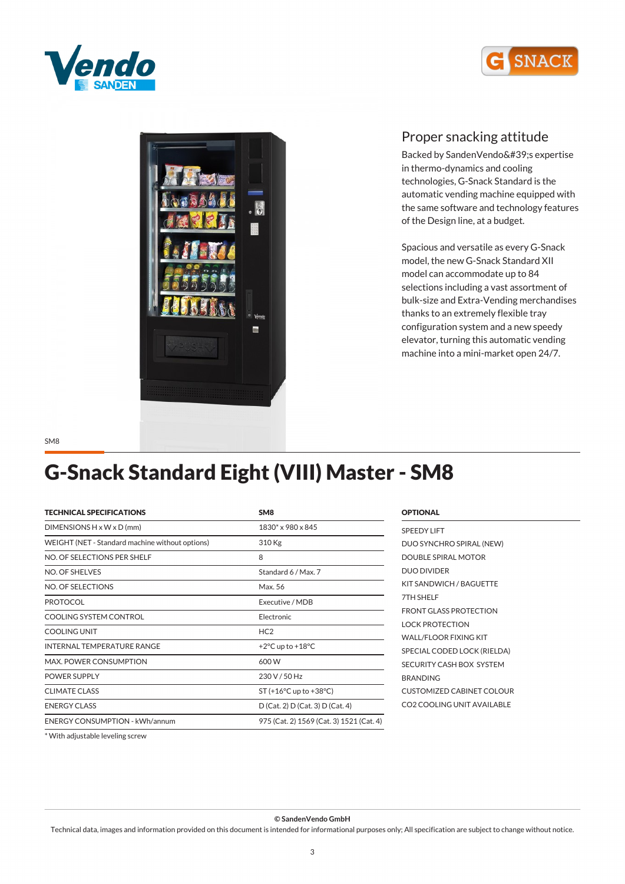





Backed by SandenVendo's expertise *in thermo-dynamics and cooling technologies, G-Snack Standard is the automatic vending machine equipped with the same software and technology features of the Design line, at a budget.*

*Spacious and versatile as every G-Snack model, the new G-Snack Standard XII model can accommodate up to 84 selections including a vast assortment of bulk-size and Extra-Vending merchandises thanks to an extremely flexible tray configuration system and a new speedy elevator, turning this automatic vending machine into a mini-market open 24/7.*

*SM8*

### *G-Snack Standard Eight (VIII) Master - SM8*

| <b>TECHNICAL SPECIFICATIONS</b>                 | SM <sub>8</sub>                          |  |
|-------------------------------------------------|------------------------------------------|--|
| $DIMENTSIONS H \times W \times D$ (mm)          | 1830* x 980 x 845                        |  |
| WEIGHT (NET - Standard machine without options) | 310 Kg                                   |  |
| NO. OF SELECTIONS PER SHELF                     | 8                                        |  |
| NO. OF SHELVES                                  | Standard 6 / Max. 7                      |  |
| NO. OF SELECTIONS                               | Max. 56                                  |  |
| <b>PROTOCOL</b>                                 | Executive / MDB                          |  |
| COOLING SYSTEM CONTROL                          | Electronic                               |  |
| COOLING UNIT                                    | HC <sub>2</sub>                          |  |
| <b>INTERNAL TEMPERATURE RANGE</b>               | +2 $\degree$ C up to +18 $\degree$ C     |  |
| <b>MAX. POWER CONSUMPTION</b>                   | 600 W                                    |  |
| <b>POWER SUPPLY</b>                             | 230 V / 50 Hz                            |  |
| <b>CLIMATE CLASS</b>                            | $ST (+16°C$ up to $+38°C$ )              |  |
| <b>ENERGY CLASS</b>                             | D (Cat. 2) D (Cat. 3) D (Cat. 4)         |  |
| <b>ENERGY CONSUMPTION - kWh/annum</b>           | 975 (Cat. 2) 1569 (Cat. 3) 1521 (Cat. 4) |  |
|                                                 |                                          |  |

#### *OPTIONAL*

| <b>SPEEDY LIFT</b>               |
|----------------------------------|
| DUO SYNCHRO SPIRAL (NEW)         |
| <b>DOUBLE SPIRAL MOTOR</b>       |
| <b>DUO DIVIDER</b>               |
| KIT SANDWICH / BAGUETTE          |
| 7TH SHELF                        |
| <b>FRONT GLASS PROTECTION</b>    |
| LOCK PROTECTION                  |
| WALL/FLOOR FIXING KIT            |
| SPECIAL CODED LOCK (RIELDA)      |
| SECURITY CASH BOX SYSTEM         |
| <b>BRANDING</b>                  |
| <b>CUSTOMIZED CABINET COLOUR</b> |
| CO2 COOLING UNIT AVAILABLE       |

*\* With adjustable leveling screw*

*© SandenVendo GmbH*